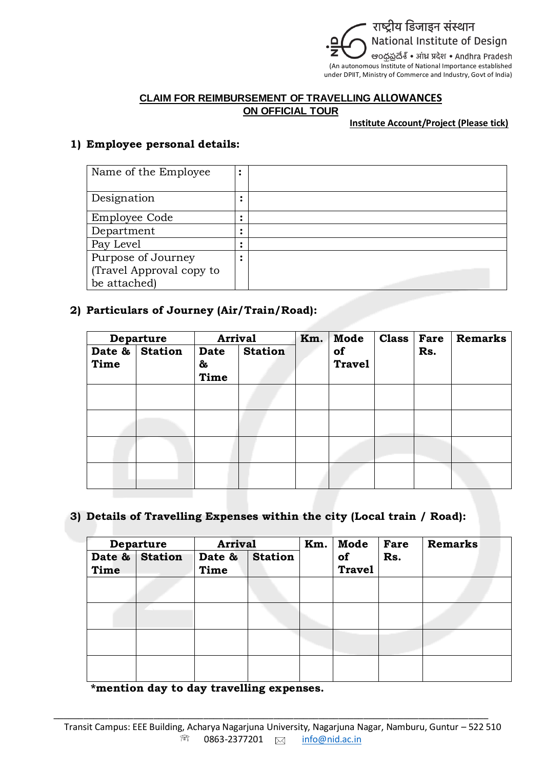

#### **CLAIM FOR REIMBURSEMENT OF TRAVELLING ALLOWANCES ON OFFICIAL TOUR**

#### **Institute Account/Project (Please tick)**

### **1) Employee personal details:**

| Name of the Employee     | ٠ |  |
|--------------------------|---|--|
| Designation              |   |  |
| Employee Code            |   |  |
| Department               | ٠ |  |
| Pay Level                |   |  |
| Purpose of Journey       |   |  |
| (Travel Approval copy to |   |  |
| be attached)             |   |  |

### **2) Particulars of Journey (Air/Train/Road):**

|                | <b>Arrival</b><br><b>Departure</b> |                   | Km.            | Mode | <b>Class</b>        | Fare | <b>Remarks</b> |  |
|----------------|------------------------------------|-------------------|----------------|------|---------------------|------|----------------|--|
| Date &<br>Time | <b>Station</b>                     | Date<br>&<br>Time | <b>Station</b> |      | of<br><b>Travel</b> |      | Rs.            |  |
|                |                                    |                   |                |      |                     |      |                |  |
|                |                                    |                   |                |      |                     |      |                |  |
|                |                                    |                   |                |      |                     |      |                |  |
|                |                                    |                   |                |      |                     |      |                |  |

# **3) Details of Travelling Expenses within the city (Local train / Road):**

| <b>Departure</b> |                | <b>Arrival</b> |                | Km. | Mode                | Fare | <b>Remarks</b> |  |
|------------------|----------------|----------------|----------------|-----|---------------------|------|----------------|--|
| Time             | Date & Station | Date &<br>Time | <b>Station</b> |     | of<br><b>Travel</b> | Rs.  |                |  |
|                  |                |                |                |     |                     |      |                |  |
|                  |                |                |                |     |                     |      |                |  |
|                  |                |                |                |     |                     |      |                |  |
|                  |                |                |                |     |                     |      |                |  |

 **\*mention day to day travelling expenses.** 

\_\_\_\_\_\_\_\_\_\_\_\_\_\_\_\_\_\_\_\_\_\_\_\_\_\_\_\_\_\_\_\_\_\_\_\_\_\_\_\_\_\_\_\_\_\_\_\_\_\_\_\_\_\_\_\_\_\_\_\_\_\_\_\_\_\_\_\_\_\_\_\_\_\_\_\_\_\_\_\_\_\_\_\_\_\_\_